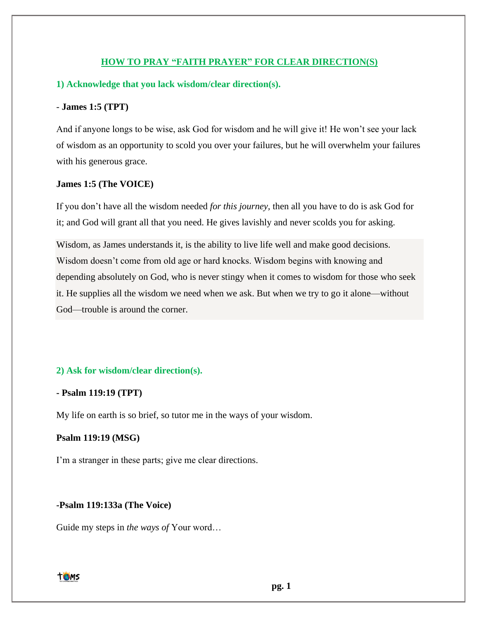### **HOW TO PRAY "FAITH PRAYER" FOR CLEAR DIRECTION(S)**

### **1) Acknowledge that you lack wisdom/clear direction(s).**

#### - **James 1:5 (TPT)**

And if anyone longs to be wise, ask God for wisdom and he will give it! He won't see your lack of wisdom as an opportunity to scold you over your failures, but he will overwhelm your failures with his generous grace.

#### **James 1:5 (The VOICE)**

If you don't have all the wisdom needed *for this journey,* then all you have to do is ask God for it; and God will grant all that you need. He gives lavishly and never scolds you for asking.

Wisdom, as James understands it, is the ability to live life well and make good decisions. Wisdom doesn't come from old age or hard knocks. Wisdom begins with knowing and depending absolutely on God, who is never stingy when it comes to wisdom for those who seek it. He supplies all the wisdom we need when we ask. But when we try to go it alone—without God—trouble is around the corner.

#### **2) Ask for wisdom/clear direction(s).**

### **- Psalm 119:19 (TPT)**

My life on earth is so brief, so tutor me in the ways of your wisdom.

### **Psalm 119:19 (MSG)**

I'm a stranger in these parts; give me clear directions.

#### **-Psalm 119:133a (The Voice)**

Guide my steps in *the ways of* Your word…



**pg. 1**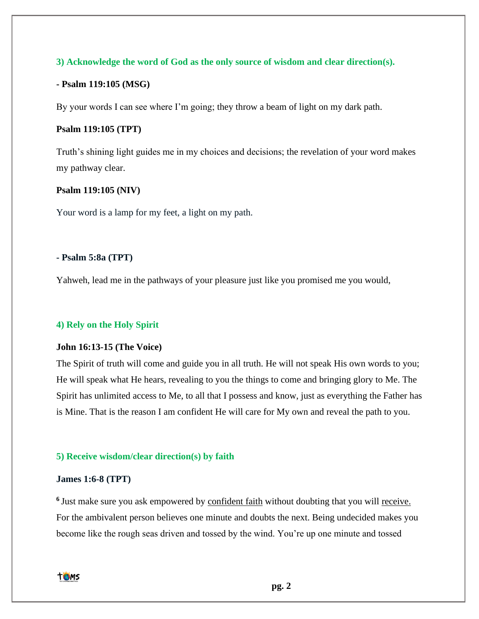# **3) Acknowledge the word of God as the only source of wisdom and clear direction(s).**

### **- Psalm 119:105 (MSG)**

By your words I can see where I'm going; they throw a beam of light on my dark path.

# **Psalm 119:105 (TPT)**

Truth's shining light guides me in my choices and decisions; the revelation of your word makes my pathway clear.

### **Psalm 119:105 (NIV)**

Your word is a lamp for my feet, a light on my path.

### **- Psalm 5:8a (TPT)**

Yahweh, lead me in the pathways of your pleasure just like you promised me you would,

#### **4) Rely on the Holy Spirit**

### **John 16:13-15 (The Voice)**

The Spirit of truth will come and guide you in all truth. He will not speak His own words to you; He will speak what He hears, revealing to you the things to come and bringing glory to Me. The Spirit has unlimited access to Me, to all that I possess and know, just as everything the Father has is Mine. That is the reason I am confident He will care for My own and reveal the path to you.

#### **5) Receive wisdom/clear direction(s) by faith**

### **James 1:6-8 (TPT)**

<sup>6</sup> Just make sure you ask empowered by confident faith without doubting that you will receive. For the ambivalent person believes one minute and doubts the next. Being undecided makes you become like the rough seas driven and tossed by the wind. You're up one minute and tossed

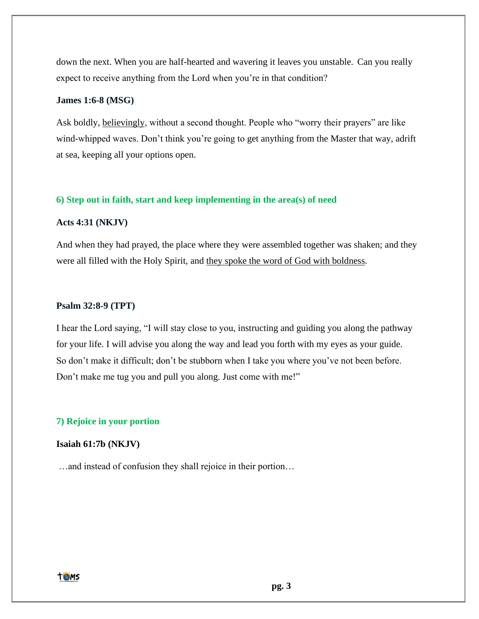down the next. When you are half-hearted and wavering it leaves you unstable. Can you really expect to receive anything from the Lord when you're in that condition?

# **James 1:6-8 (MSG)**

Ask boldly, believingly, without a second thought. People who "worry their prayers" are like wind-whipped waves. Don't think you're going to get anything from the Master that way, adrift at sea, keeping all your options open.

### **6) Step out in faith, start and keep implementing in the area(s) of need**

### **Acts 4:31 (NKJV)**

And when they had prayed, the place where they were assembled together was shaken; and they were all filled with the Holy Spirit, and they spoke the word of God with boldness.

#### **Psalm 32:8-9 (TPT)**

I hear the Lord saying, "I will stay close to you, instructing and guiding you along the pathway for your life. I will advise you along the way and lead you forth with my eyes as your guide. So don't make it difficult; don't be stubborn when I take you where you've not been before. Don't make me tug you and pull you along. Just come with me!"

#### **7) Rejoice in your portion**

#### **Isaiah 61:7b (NKJV)**

…and instead of confusion they shall rejoice in their portion…